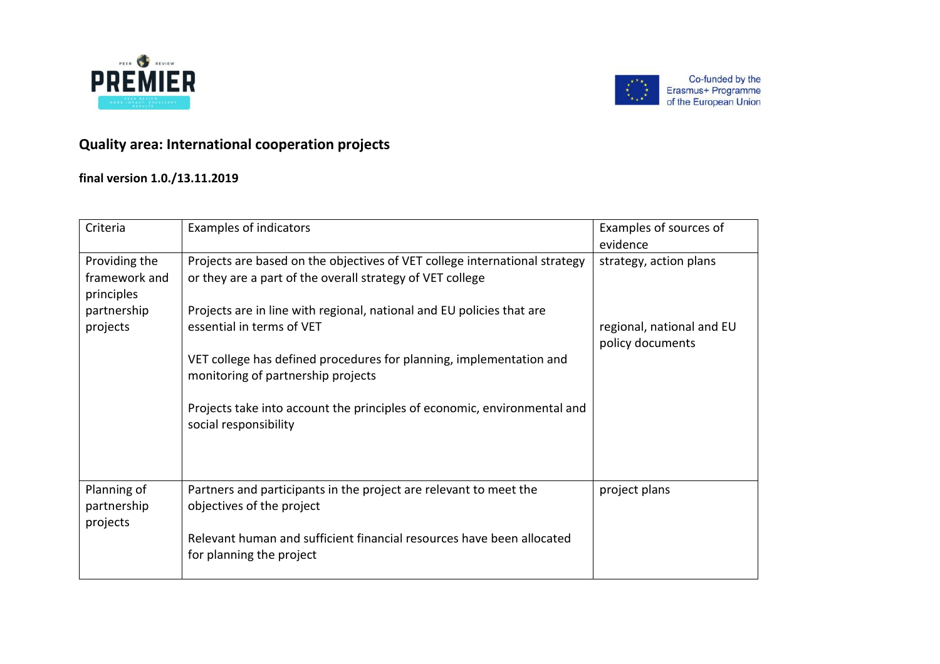



Co-funded by the Erasmus+ Programme<br>of the European Union

## **Quality area: International cooperation projects**

## **final version 1.0./13.11.2019**

| Criteria                                                                | <b>Examples of indicators</b>                                                                                                                                                                                                                                                                                                                              | Examples of sources of<br>evidence                                      |
|-------------------------------------------------------------------------|------------------------------------------------------------------------------------------------------------------------------------------------------------------------------------------------------------------------------------------------------------------------------------------------------------------------------------------------------------|-------------------------------------------------------------------------|
| Providing the<br>framework and<br>principles<br>partnership<br>projects | Projects are based on the objectives of VET college international strategy<br>or they are a part of the overall strategy of VET college<br>Projects are in line with regional, national and EU policies that are<br>essential in terms of VET<br>VET college has defined procedures for planning, implementation and<br>monitoring of partnership projects | strategy, action plans<br>regional, national and EU<br>policy documents |
|                                                                         | Projects take into account the principles of economic, environmental and<br>social responsibility                                                                                                                                                                                                                                                          |                                                                         |
| Planning of<br>partnership<br>projects                                  | Partners and participants in the project are relevant to meet the<br>objectives of the project<br>Relevant human and sufficient financial resources have been allocated<br>for planning the project                                                                                                                                                        | project plans                                                           |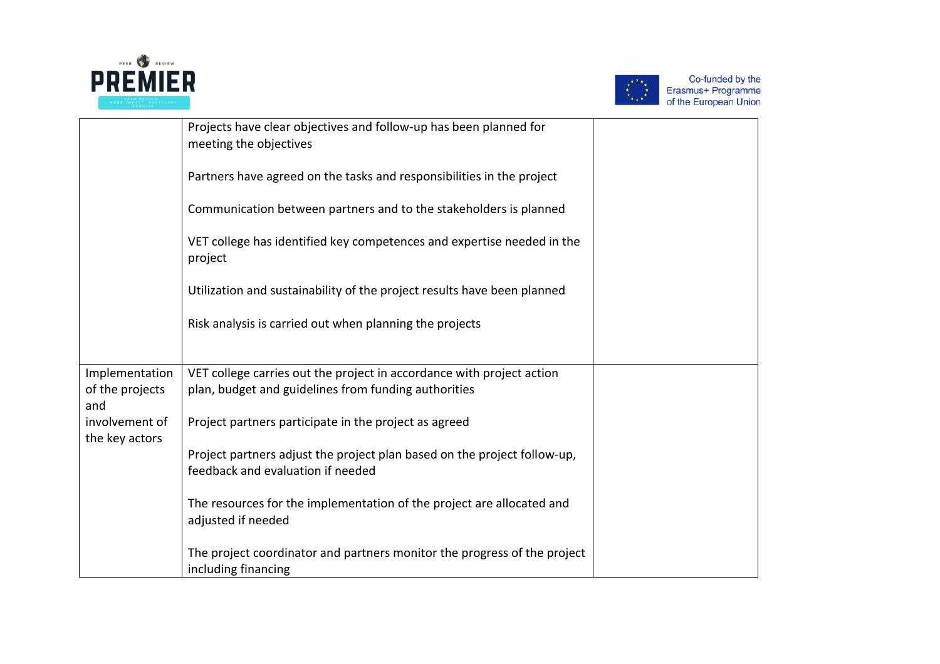



Co-funded by the<br>Erasmus+ Programme<br>of the European Union

|                                          | Projects have clear objectives and follow-up has been planned for<br>meeting the objectives<br>Partners have agreed on the tasks and responsibilities in the project<br>Communication between partners and to the stakeholders is planned<br>VET college has identified key competences and expertise needed in the<br>project<br>Utilization and sustainability of the project results have been planned<br>Risk analysis is carried out when planning the projects |  |
|------------------------------------------|----------------------------------------------------------------------------------------------------------------------------------------------------------------------------------------------------------------------------------------------------------------------------------------------------------------------------------------------------------------------------------------------------------------------------------------------------------------------|--|
|                                          |                                                                                                                                                                                                                                                                                                                                                                                                                                                                      |  |
| Implementation<br>of the projects<br>and | VET college carries out the project in accordance with project action<br>plan, budget and guidelines from funding authorities                                                                                                                                                                                                                                                                                                                                        |  |
| involvement of<br>the key actors         | Project partners participate in the project as agreed                                                                                                                                                                                                                                                                                                                                                                                                                |  |
|                                          | Project partners adjust the project plan based on the project follow-up,<br>feedback and evaluation if needed                                                                                                                                                                                                                                                                                                                                                        |  |
|                                          | The resources for the implementation of the project are allocated and<br>adjusted if needed                                                                                                                                                                                                                                                                                                                                                                          |  |
|                                          | The project coordinator and partners monitor the progress of the project<br>including financing                                                                                                                                                                                                                                                                                                                                                                      |  |